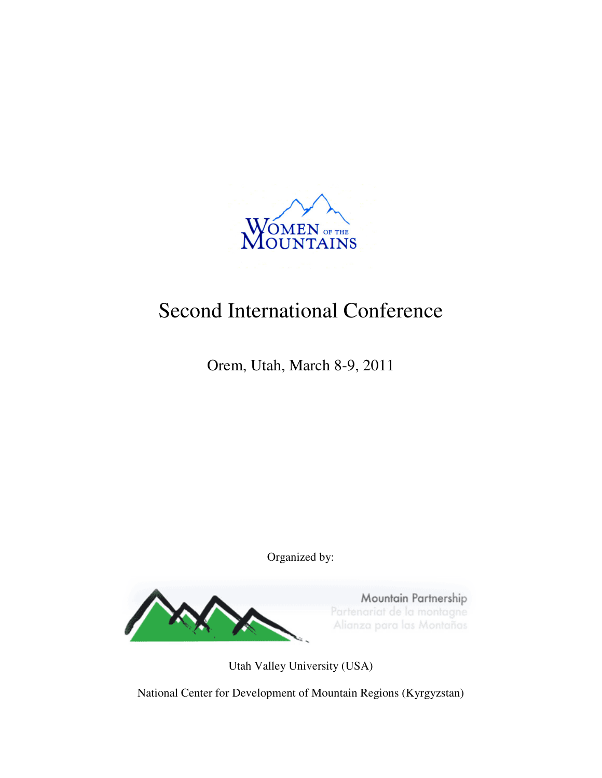

# Second International Conference

Orem, Utah, March 8-9, 2011

Organized by:



Utah Valley University (USA)

National Center for Development of Mountain Regions (Kyrgyzstan)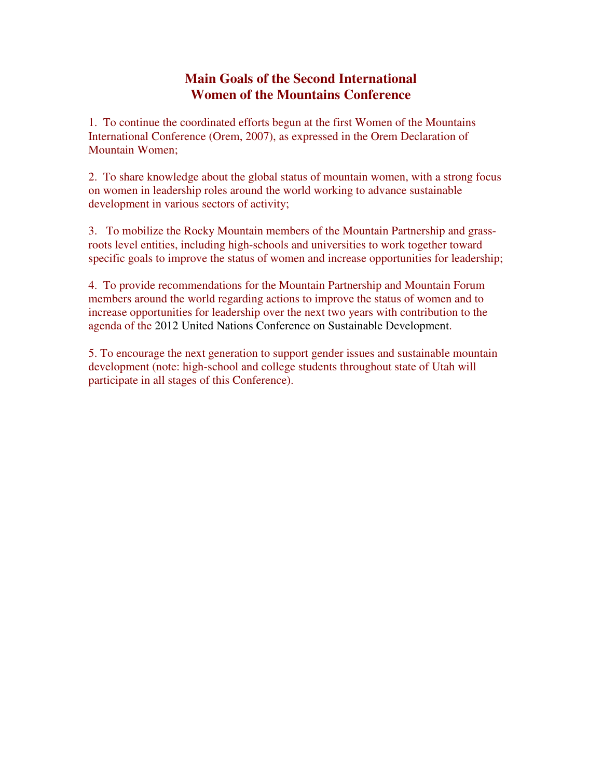# **Main Goals of the Second International Women of the Mountains Conference**

1. To continue the coordinated efforts begun at the first Women of the Mountains International Conference (Orem, 2007), as expressed in the Orem Declaration of Mountain Women;

2. To share knowledge about the global status of mountain women, with a strong focus on women in leadership roles around the world working to advance sustainable development in various sectors of activity;

3. To mobilize the Rocky Mountain members of the Mountain Partnership and grassroots level entities, including high-schools and universities to work together toward specific goals to improve the status of women and increase opportunities for leadership;

4. To provide recommendations for the Mountain Partnership and Mountain Forum members around the world regarding actions to improve the status of women and to increase opportunities for leadership over the next two years with contribution to the agenda of the 2012 United Nations Conference on Sustainable Development.

5. To encourage the next generation to support gender issues and sustainable mountain development (note: high-school and college students throughout state of Utah will participate in all stages of this Conference).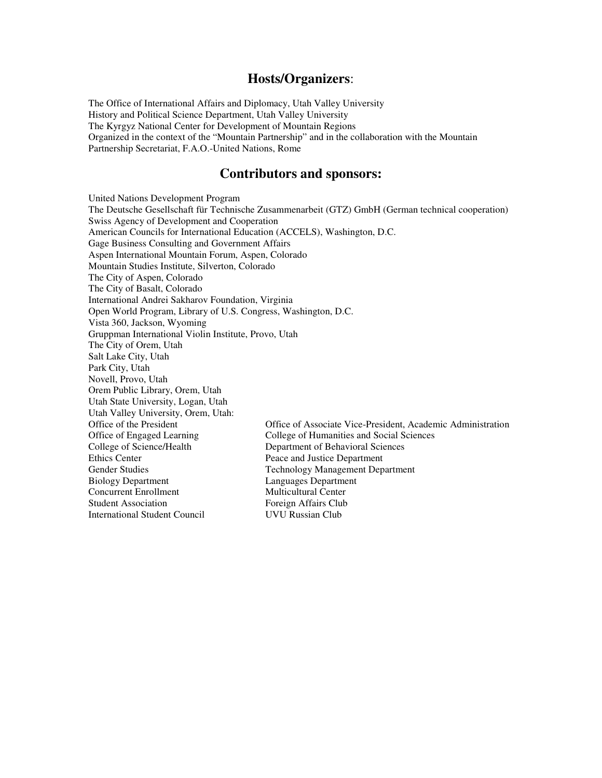### **Hosts/Organizers**:

The Office of International Affairs and Diplomacy, Utah Valley University History and Political Science Department, Utah Valley University The Kyrgyz National Center for Development of Mountain Regions Organized in the context of the "Mountain Partnership" and in the collaboration with the Mountain Partnership Secretariat, F.A.O.-United Nations, Rome

### **Contributors and sponsors:**

United Nations Development Program The Deutsche Gesellschaft für Technische Zusammenarbeit (GTZ) GmbH (German technical cooperation) Swiss Agency of Development and Cooperation American Councils for International Education (ACCELS), Washington, D.C. Gage Business Consulting and Government Affairs Aspen International Mountain Forum, Aspen, Colorado Mountain Studies Institute, Silverton, Colorado The City of Aspen, Colorado The City of Basalt, Colorado International Andrei Sakharov Foundation, Virginia Open World Program, Library of U.S. Congress, Washington, D.C. Vista 360, Jackson, Wyoming Gruppman International Violin Institute, Provo, Utah The City of Orem, Utah Salt Lake City, Utah Park City, Utah Novell, Provo, Utah Orem Public Library, Orem, Utah Utah State University, Logan, Utah Utah Valley University, Orem, Utah: Office of Associate Vice-President, Academic Administration Office of Engaged Learning College of Humanities and Social Sciences College of Science/Health Department of Behavioral Sciences<br>Ethics Center Peace and Justice Department Peace and Justice Department Gender Studies Technology Management Department Biology Department<br>
Concurrent Enrollment<br>
Multicultural Center Concurrent Enrollment Student Association Foreign Affairs Club International Student Council UVU Russian Club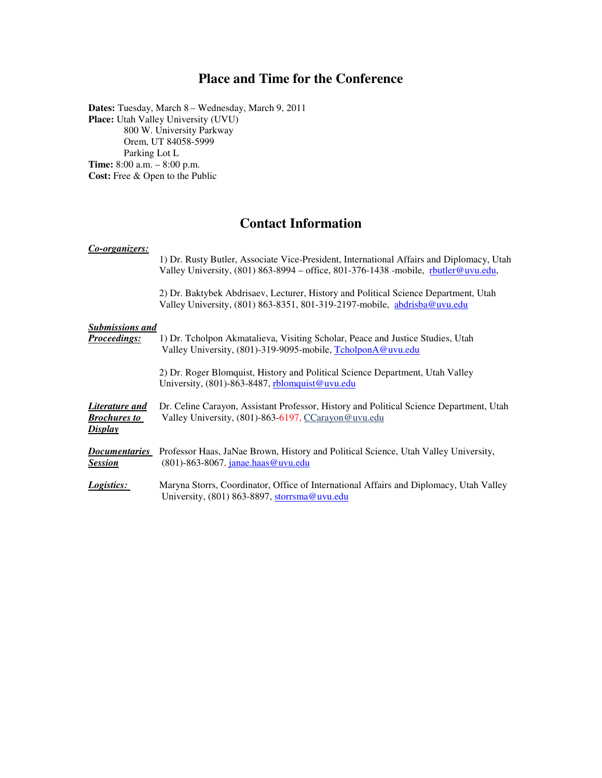## **Place and Time for the Conference**

**Dates:** Tuesday, March 8 – Wednesday, March 9, 2011 **Place:** Utah Valley University (UVU) 800 W. University Parkway Orem, UT 84058-5999 Parking Lot L **Time:** 8:00 a.m. – 8:00 p.m. **Cost:** Free & Open to the Public

## **Contact Information**

# *Co-organizers:*  1) Dr. Rusty Butler, Associate Vice-President, International Affairs and Diplomacy, Utah Valley University, (801) 863-8994 – office, 801-376-1438 -mobile, rbutler@uvu.edu, 2) Dr. Baktybek Abdrisaev, Lecturer, History and Political Science Department, Utah Valley University, (801) 863-8351, 801-319-2197-mobile, abdrisba@uvu.edu *Submissions and Proceedings:* 1) Dr. Tcholpon Akmatalieva, Visiting Scholar, Peace and Justice Studies, Utah Valley University, (801)-319-9095-mobile, TcholponA@uvu.edu 2) Dr. Roger Blomquist, History and Political Science Department, Utah Valley University, (801)-863-8487, rblomquist@uvu.edu *Literature and* Dr. Celine Carayon, Assistant Professor, History and Political Science Department, Utah *Brochures to* Valley University, (801)-863-6197, CCarayon@uvu.edu *Display* **Documentaries** Professor Haas, JaNae Brown, History and Political Science, Utah Valley University,<br>Session (801)-863-8067, janae.haas@uvu.edu *Session* (801)-863-8067, janae.haas@uvu.edu *Logistics:* Maryna Storrs, Coordinator, Office of International Affairs and Diplomacy, Utah Valley University, (801) 863-8897, storrsma@uvu.edu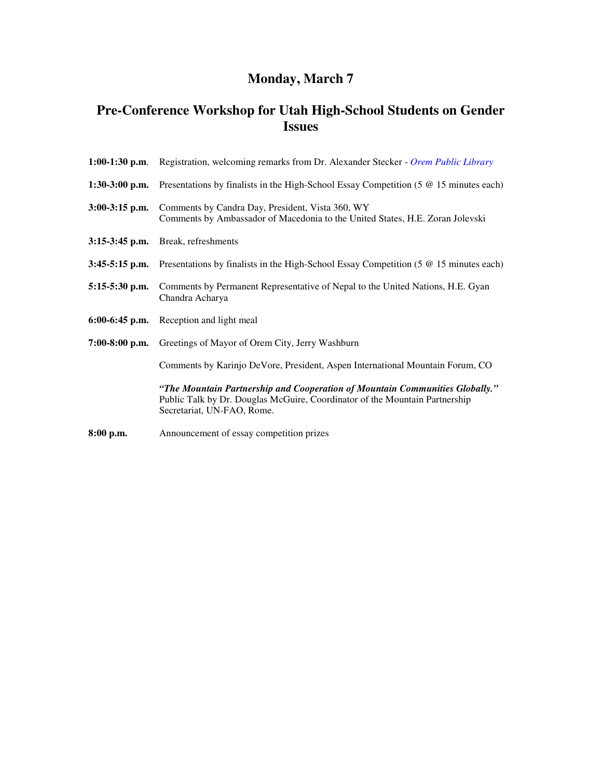# **Monday, March 7**

# **Pre-Conference Workshop for Utah High-School Students on Gender Issues**

|                  | <b>1:00-1:30 p.m.</b> Registration, welcoming remarks from Dr. Alexander Stecker - Orem Public Library                                                                                    |
|------------------|-------------------------------------------------------------------------------------------------------------------------------------------------------------------------------------------|
| $1:30-3:00$ p.m. | Presentations by finalists in the High-School Essay Competition (5 @ 15 minutes each)                                                                                                     |
| $3:00-3:15$ p.m. | Comments by Candra Day, President, Vista 360, WY<br>Comments by Ambassador of Macedonia to the United States, H.E. Zoran Jolevski                                                         |
|                  | $3:15-3:45$ p.m. Break, refreshments                                                                                                                                                      |
|                  | 3:45-5:15 p.m. Presentations by finalists in the High-School Essay Competition (5 $\omega$ 15 minutes each)                                                                               |
| $5:15-5:30$ p.m. | Comments by Permanent Representative of Nepal to the United Nations, H.E. Gyan<br>Chandra Acharya                                                                                         |
|                  | 6:00-6:45 p.m. Reception and light meal                                                                                                                                                   |
| $7:00-8:00$ p.m. | Greetings of Mayor of Orem City, Jerry Washburn                                                                                                                                           |
|                  | Comments by Karinjo DeVore, President, Aspen International Mountain Forum, CO                                                                                                             |
|                  | "The Mountain Partnership and Cooperation of Mountain Communities Globally."<br>Public Talk by Dr. Douglas McGuire, Coordinator of the Mountain Partnership<br>Secretariat, UN-FAO, Rome. |
| 8:00 p.m.        | Announcement of essay competition prizes                                                                                                                                                  |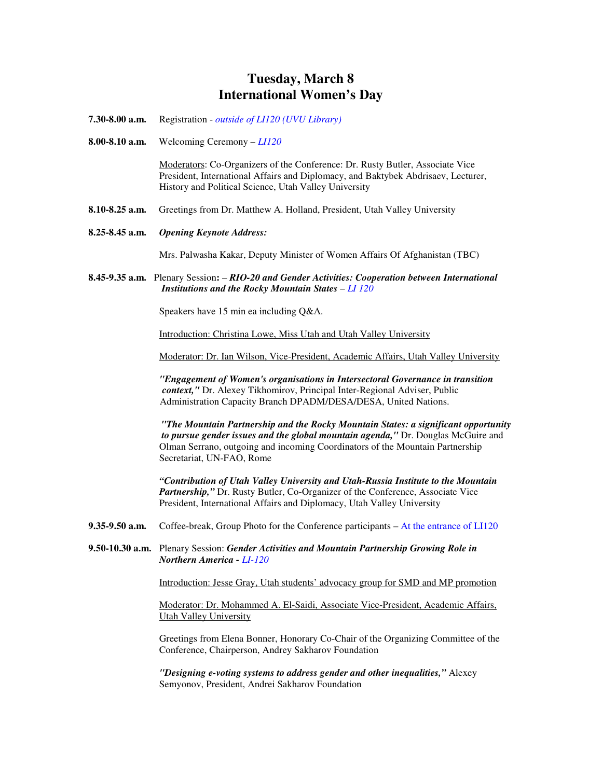# **Tuesday, March 8 International Women's Day**

- **7.30-8.00 a.m.** Registration *outside of LI120 (UVU Library)*
- **8.00-8.10 a.m.** Welcoming Ceremony *LI120*

Moderators: Co-Organizers of the Conference: Dr. Rusty Butler, Associate Vice President, International Affairs and Diplomacy, and Baktybek Abdrisaev, Lecturer, History and Political Science, Utah Valley University

- **8.10-8.25 a.m.** Greetings from Dr. Matthew A. Holland, President, Utah Valley University
- **8.25-8.45 a.m.** *Opening Keynote Address:*

Mrs. Palwasha Kakar, Deputy Minister of Women Affairs Of Afghanistan (TBC)

**8.45-9.35 a.m.** Plenary Session**:** – *RIO-20 and Gender Activities: Cooperation between International Institutions and the Rocky Mountain States* – *LI 120*

Speakers have 15 min ea including Q&A.

Introduction: Christina Lowe, Miss Utah and Utah Valley University

Moderator: Dr. Ian Wilson, Vice-President, Academic Affairs, Utah Valley University

*"Engagement of Women's organisations in Intersectoral Governance in transition context,"* Dr. Alexey Tikhomirov, Principal Inter-Regional Adviser, Public Administration Capacity Branch DPADM/DESA/DESA, United Nations.

*"The Mountain Partnership and the Rocky Mountain States: a significant opportunity to pursue gender issues and the global mountain agenda,"* Dr. Douglas McGuire and Olman Serrano, outgoing and incoming Coordinators of the Mountain Partnership Secretariat, UN-FAO, Rome

*"Contribution of Utah Valley University and Utah-Russia Institute to the Mountain Partnership,"* Dr. Rusty Butler, Co-Organizer of the Conference, Associate Vice President, International Affairs and Diplomacy, Utah Valley University

- **9.35-9.50 a.m.** Coffee-break, Group Photo for the Conference participants At the entrance of LI120
- **9.50-10.30 a.m.** Plenary Session: *Gender Activities and Mountain Partnership Growing Role in Northern America - LI-120*

Introduction: Jesse Gray, Utah students' advocacy group for SMD and MP promotion

Moderator: Dr. Mohammed A. El-Saidi, Associate Vice-President, Academic Affairs, Utah Valley University

Greetings from Elena Bonner, Honorary Co-Chair of the Organizing Committee of the Conference, Chairperson, Andrey Sakharov Foundation

*"Designing e-voting systems to address gender and other inequalities,"* Alexey Semyonov, President, Andrei Sakharov Foundation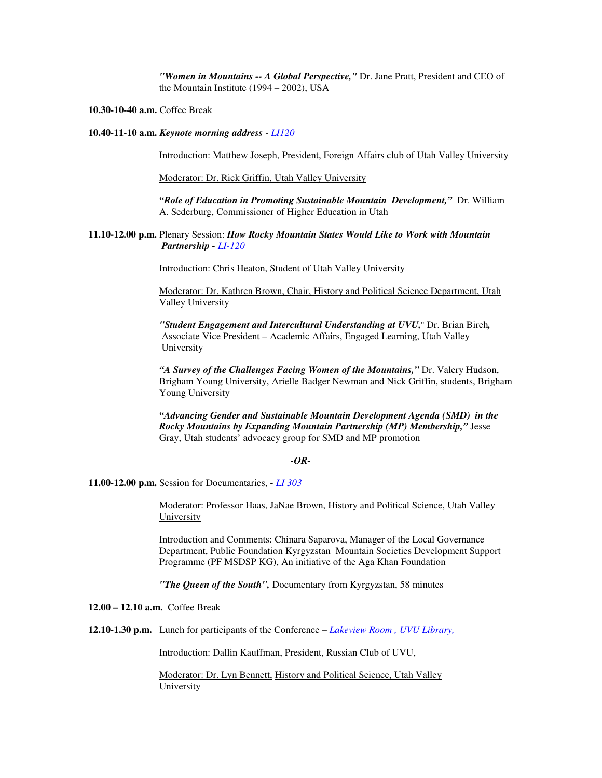*"Women in Mountains -- A Global Perspective,"* Dr. Jane Pratt, President and CEO of the Mountain Institute (1994 – 2002), USA

**10.30-10-40 a.m.** Coffee Break

**10.40-11-10 a.m.** *Keynote morning address* - *LI120*

Introduction: Matthew Joseph, President, Foreign Affairs club of Utah Valley University

Moderator: Dr. Rick Griffin, Utah Valley University

*"Role of Education in Promoting Sustainable Mountain Development,"* Dr. William A. Sederburg, Commissioner of Higher Education in Utah

#### **11.10-12.00 p.m.** Plenary Session: *How Rocky Mountain States Would Like to Work with Mountain Partnership - LI-120*

Introduction: Chris Heaton, Student of Utah Valley University

Moderator: Dr. Kathren Brown, Chair, History and Political Science Department, Utah Valley University

*"Student Engagement and Intercultural Understanding at UVU,*" Dr. Brian Birch*,*  Associate Vice President – Academic Affairs, Engaged Learning, Utah Valley University

*"A Survey of the Challenges Facing Women of the Mountains,"* Dr. Valery Hudson, Brigham Young University, Arielle Badger Newman and Nick Griffin, students, Brigham Young University

*"Advancing Gender and Sustainable Mountain Development Agenda (SMD) in the Rocky Mountains by Expanding Mountain Partnership (MP) Membership,"* Jesse Gray, Utah students' advocacy group for SMD and MP promotion

#### *-OR-*

**11.00-12.00 p.m.** Session for Documentaries, **-** *LI 303* 

Moderator: Professor Haas, JaNae Brown, History and Political Science, Utah Valley **University** 

Introduction and Comments: Chinara Saparova, Manager of the Local Governance Department, Public Foundation Kyrgyzstan Mountain Societies Development Support Programme (PF MSDSP KG), An initiative of the Aga Khan Foundation

*"The Queen of the South",* Documentary from Kyrgyzstan, 58 minutes

**12.00 – 12.10 a.m.** Coffee Break

**12.10-1.30 p.m.** Lunch for participants of the Conference – *Lakeview Room , UVU Library,*

Introduction: Dallin Kauffman, President, Russian Club of UVU,

Moderator: Dr. Lyn Bennett, History and Political Science, Utah Valley **University**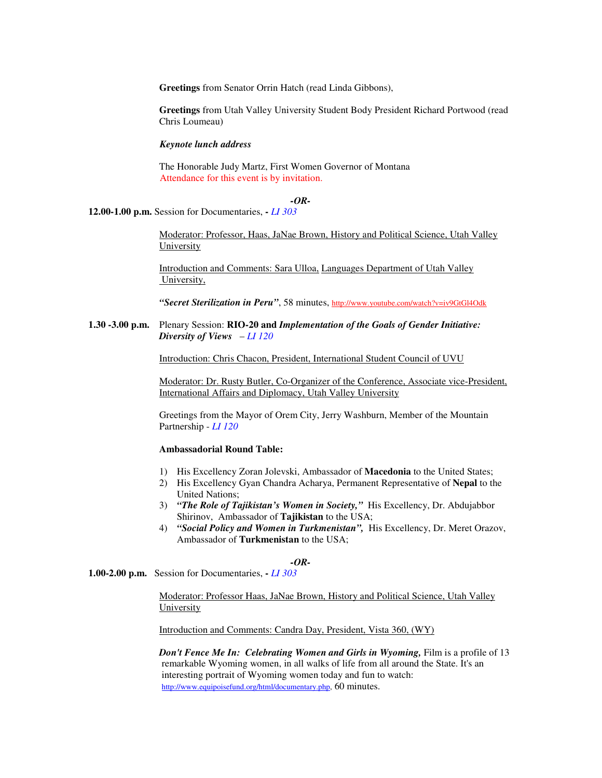**Greetings** from Senator Orrin Hatch (read Linda Gibbons),

**Greetings** from Utah Valley University Student Body President Richard Portwood (read Chris Loumeau)

*Keynote lunch address* 

The Honorable Judy Martz, First Women Governor of Montana Attendance for this event is by invitation.

*-OR-*

**12.00-1.00 p.m.** Session for Documentaries, **-** *LI 303* 

Moderator: Professor, Haas, JaNae Brown, History and Political Science, Utah Valley University

Introduction and Comments: Sara Ulloa, Languages Department of Utah Valley University,

*"Secret Sterilization in Peru"*, 58 minutes, http://www.youtube.com/watch?v=iv9GtGl4Odk

**1.30 -3.00 p.m.** Plenary Session: **RIO-20 and** *Implementation of the Goals of Gender Initiative: Diversity of Views* – *LI 120*

Introduction: Chris Chacon, President, International Student Council of UVU

Moderator: Dr. Rusty Butler, Co-Organizer of the Conference, Associate vice-President, International Affairs and Diplomacy, Utah Valley University

Greetings from the Mayor of Orem City, Jerry Washburn, Member of the Mountain Partnership - *LI 120*

#### **Ambassadorial Round Table:**

- 1) His Excellency Zoran Jolevski, Ambassador of **Macedonia** to the United States;
- 2) His Excellency Gyan Chandra Acharya, Permanent Representative of **Nepal** to the United Nations;
- 3) *"The Role of Tajikistan's Women in Society,"* His Excellency, Dr. Abdujabbor Shirinov, Ambassador of **Tajikistan** to the USA;
- 4) *"Social Policy and Women in Turkmenistan",* His Excellency, Dr. Meret Orazov, Ambassador of **Turkmenistan** to the USA;

#### *-OR-*

**1.00-2.00 p.m.** Session for Documentaries, **-** *LI 303* 

Moderator: Professor Haas, JaNae Brown, History and Political Science, Utah Valley University

Introduction and Comments: Candra Day, President, Vista 360, (WY)

*Don't Fence Me In: Celebrating Women and Girls in Wyoming, Film is a profile of 13*  remarkable Wyoming women, in all walks of life from all around the State. It's an interesting portrait of Wyoming women today and fun to watch: http://www.equipoisefund.org/html/documentary.php, 60 minutes.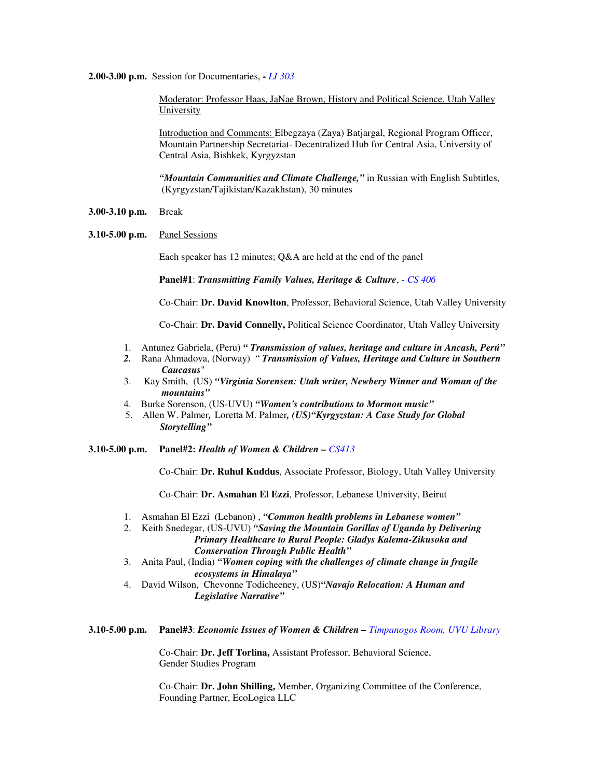#### **2.00-3.00 p.m.** Session for Documentaries, **-** *LI 303*

Moderator: Professor Haas, JaNae Brown, History and Political Science, Utah Valley University

Introduction and Comments: Elbegzaya (Zaya) Batjargal, Regional Program Officer, Mountain Partnership Secretariat- Decentralized Hub for Central Asia, University of Central Asia, Bishkek, Kyrgyzstan

*"Mountain Communities and Climate Challenge,"* in Russian with English Subtitles, (Kyrgyzstan/Tajikistan/Kazakhstan), 30 minutes

- **3.00-3.10 p.m.** Break
- **3.10-5.00 p.m.** Panel Sessions

Each speaker has 12 minutes; Q&A are held at the end of the panel

**Panel#1**: *Transmitting Family Values, Heritage & Culture*, - *CS 406*

Co-Chair: **Dr. David Knowlton**, Professor, Behavioral Science, Utah Valley University

Co-Chair: **Dr. David Connelly,** Political Science Coordinator, Utah Valley University

- 1. Antunez Gabriela, **(**Peru**)** *" Transmission of values, heritage and culture in Ancash, Perú"*
- *2.* Rana Ahmadova, (Norway) " *Transmission of Values, Heritage and Culture in Southern Caucasus*"
- 3. Kay Smith, (US) *"Virginia Sorensen: Utah writer, Newbery Winner and Woman of the mountains"*
- 4. Burke Sorenson, (US-UVU) *"Women's contributions to Mormon music"*
- 5. Allen W. Palmer*,* Loretta M. Palmer*, (US)"Kyrgyzstan: A Case Study for Global Storytelling"*

**3.10-5.00 p.m. Panel#2:** *Health of Women & Children – CS413*

Co-Chair: **Dr. Ruhul Kuddus**, Associate Professor, Biology, Utah Valley University

Co-Chair: **Dr. Asmahan El Ezzi**, Professor, Lebanese University, Beirut

- 1. Asmahan El Ezzi (Lebanon) , *"Common health problems in Lebanese women"*
- 2. Keith Snedegar, (US-UVU) *"Saving the Mountain Gorillas of Uganda by Delivering Primary Healthcare to Rural People: Gladys Kalema-Zikusoka and Conservation Through Public Health"*
- 3. Anita Paul, (India) *"Women coping with the challenges of climate change in fragile ecosystems in Himalaya"*
- 4. David Wilson, Chevonne Todicheeney, (US)*"Navajo Relocation: A Human and Legislative Narrative"*

**3.10-5.00 p.m. Panel#3**: *Economic Issues of Women & Children – Timpanogos Room, UVU Library* 

Co-Chair: **Dr. Jeff Torlina,** Assistant Professor, Behavioral Science, Gender Studies Program

Co-Chair: **Dr. John Shilling,** Member, Organizing Committee of the Conference, Founding Partner, EcoLogica LLC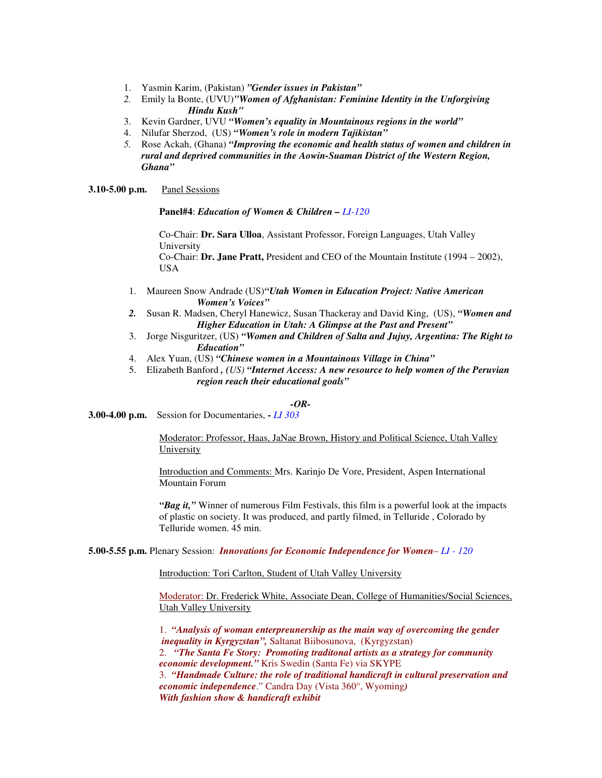- 1. Yasmin Karim, (Pakistan) *"Gender issues in Pakistan"*
- *2.* Emily la Bonte, (UVU)*"Women of Afghanistan: Feminine Identity in the Unforgiving Hindu Kush"*
- 3. Kevin Gardner, UVU *"Women's equality in Mountainous regions in the world"*
- 4. Nilufar Sherzod, (US) *"Women's role in modern Tajikistan"*
- *5.* Rose Ackah, (Ghana) *"Improving the economic and health status of women and children in rural and deprived communities in the Aowin-Suaman District of the Western Region, Ghana"*

**3.10-5.00 p.m.** Panel Sessions

**Panel#4**: *Education of Women & Children – LI-120*

Co-Chair: **Dr. Sara Ulloa**, Assistant Professor, Foreign Languages, Utah Valley University

Co-Chair: **Dr. Jane Pratt,** President and CEO of the Mountain Institute (1994 – 2002), USA

- 1. Maureen Snow Andrade (US)*"Utah Women in Education Project: Native American Women's Voices"*
- *2.* Susan R. Madsen, Cheryl Hanewicz, Susan Thackeray and David King, (US), *"Women and Higher Education in Utah: A Glimpse at the Past and Present"*
- 3. Jorge Nisguritzer, (US) *"Women and Children of Salta and Jujuy, Argentina: The Right to Education"*
- 4. Alex Yuan, (US) *"Chinese women in a Mountainous Village in China"*
- 5. Elizabeth Banford *, (US) "Internet Access: A new resource to help women of the Peruvian region reach their educational goals"*

#### *-OR-*

**3.00-4.00 p.m.** Session for Documentaries, **-** *LI 303* 

Moderator: Professor, Haas, JaNae Brown, History and Political Science, Utah Valley University

Introduction and Comments: Mrs. Karinjo De Vore, President, Aspen International Mountain Forum

*"Bag it,"* Winner of numerous Film Festivals, this film is a powerful look at the impacts of plastic on society. It was produced, and partly filmed, in Telluride , Colorado by Telluride women. 45 min.

**5.00-5.55 p.m.** Plenary Session: *Innovations for Economic Independence for Women*– *LI - 120*

Introduction: Tori Carlton, Student of Utah Valley University

Moderator: Dr. Frederick White, Associate Dean, College of Humanities/Social Sciences, Utah Valley University

1. *"Analysis of woman enterpreunership as the main way of overcoming the gender inequality in Kyrgyzstan",* Saltanat Biibosunova, (Kyrgyzstan) 2. *"The Santa Fe Story: Promoting traditonal artists as a strategy for community economic development."* Kris Swedin (Santa Fe) via SKYPE 3. *"Handmade Culture: the role of traditional handicraft in cultural preservation and economic independence*." Candra Day (Vista 360°, Wyoming*) With fashion show & handicraft exhibit*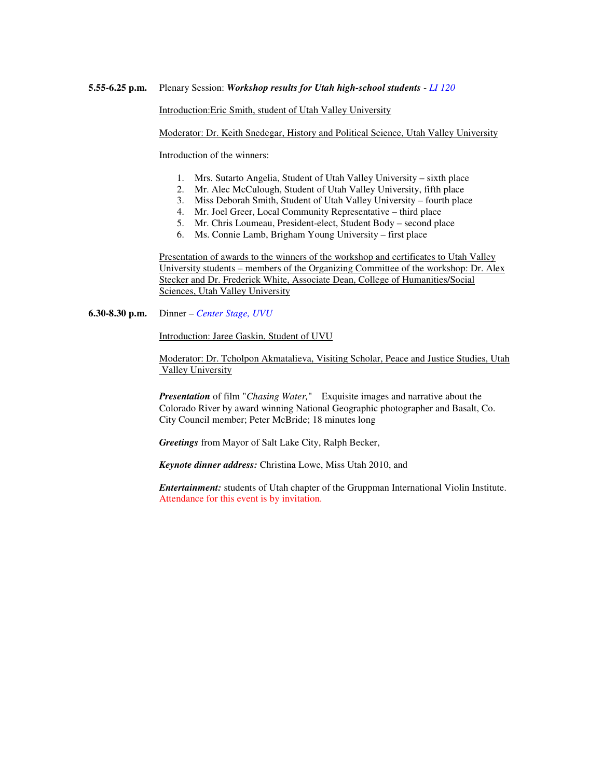Introduction:Eric Smith, student of Utah Valley University

Moderator: Dr. Keith Snedegar, History and Political Science, Utah Valley University

Introduction of the winners:

- 1. Mrs. Sutarto Angelia, Student of Utah Valley University sixth place
- 2. Mr. Alec McCulough, Student of Utah Valley University, fifth place
- 3. Miss Deborah Smith, Student of Utah Valley University fourth place
- 4. Mr. Joel Greer, Local Community Representative third place
- 5. Mr. Chris Loumeau, President-elect, Student Body second place
- 6. Ms. Connie Lamb, Brigham Young University first place

Presentation of awards to the winners of the workshop and certificates to Utah Valley University students – members of the Organizing Committee of the workshop: Dr. Alex Stecker and Dr. Frederick White, Associate Dean, College of Humanities/Social Sciences, Utah Valley University

**6.30-8.30 p.m.** Dinner *– Center Stage, UVU*

Introduction: Jaree Gaskin, Student of UVU

Moderator: Dr. Tcholpon Akmatalieva, Visiting Scholar, Peace and Justice Studies, Utah Valley University

*Presentation* of film "*Chasing Water,*" Exquisite images and narrative about the Colorado River by award winning National Geographic photographer and Basalt, Co. City Council member; Peter McBride; 18 minutes long

*Greetings* from Mayor of Salt Lake City, Ralph Becker,

*Keynote dinner address:* Christina Lowe, Miss Utah 2010, and

*Entertainment:* students of Utah chapter of the Gruppman International Violin Institute. Attendance for this event is by invitation.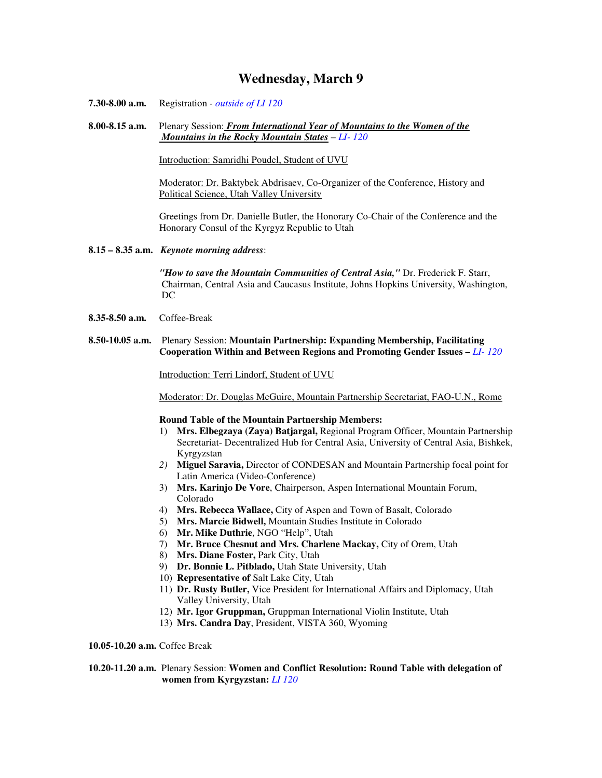### **Wednesday, March 9**

- **7.30-8.00 a.m.** Registration  *outside of LI 120*
- **8.00-8.15 a.m.** Plenary Session: *From International Year of Mountains to the Women of the Mountains in the Rocky Mountain States* – *LI- 120*

Introduction: Samridhi Poudel, Student of UVU

Moderator: Dr. Baktybek Abdrisaev, Co-Organizer of the Conference, History and Political Science, Utah Valley University

Greetings from Dr. Danielle Butler, the Honorary Co-Chair of the Conference and the Honorary Consul of the Kyrgyz Republic to Utah

#### **8.15 – 8.35 a.m.** *Keynote morning address*:

*"How to save the Mountain Communities of Central Asia,"* Dr. Frederick F. Starr, Chairman, Central Asia and Caucasus Institute, Johns Hopkins University, Washington, DC

- **8.35-8.50 a.m.** Coffee-Break
- **8.50-10.05 a.m.** Plenary Session: **Mountain Partnership: Expanding Membership, Facilitating Cooperation Within and Between Regions and Promoting Gender Issues –** *LI- 120*

Introduction: Terri Lindorf, Student of UVU

Moderator: Dr. Douglas McGuire, Mountain Partnership Secretariat, FAO-U.N., Rome

#### **Round Table of the Mountain Partnership Members:**

- 1) **Mrs. Elbegzaya (Zaya) Batjargal,** Regional Program Officer, Mountain Partnership Secretariat- Decentralized Hub for Central Asia, University of Central Asia, Bishkek, Kyrgyzstan
- *2)* **Miguel Saravia,** Director of CONDESAN and Mountain Partnership focal point for Latin America (Video-Conference)
- 3) **Mrs. Karinjo De Vore**, Chairperson, Aspen International Mountain Forum, Colorado
- 4) **Mrs. Rebecca Wallace,** City of Aspen and Town of Basalt, Colorado
- 5) **Mrs. Marcie Bidwell,** Mountain Studies Institute in Colorado
- 6) **Mr. Mike Duthrie**, NGO "Help", Utah
- 7) **Mr. Bruce Chesnut and Mrs. Charlene Mackay,** City of Orem, Utah
- 8) **Mrs. Diane Foster,** Park City, Utah
- 9) **Dr. Bonnie L. Pitblado,** Utah State University, Utah
- 10) **Representative of** Salt Lake City, Utah
- 11) **Dr. Rusty Butler,** Vice President for International Affairs and Diplomacy, Utah Valley University, Utah
- 12) **Mr. Igor Gruppman,** Gruppman International Violin Institute, Utah
- 13) **Mrs. Candra Day**, President, VISTA 360, Wyoming

**10.05-10.20 a.m.** Coffee Break

**10.20-11.20 a.m.** Plenary Session: **Women and Conflict Resolution: Round Table with delegation of women from Kyrgyzstan:** *LI 120*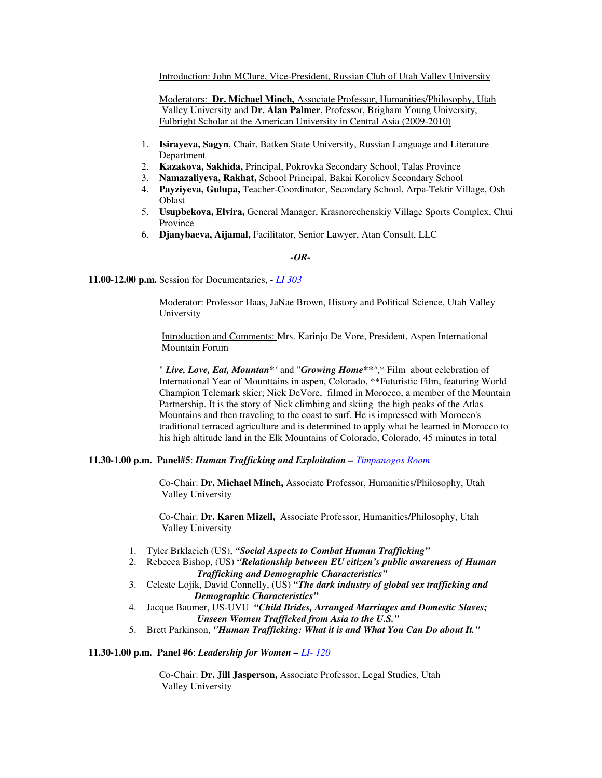Introduction: John MClure, Vice-President, Russian Club of Utah Valley University

Moderators: **Dr. Michael Minch,** Associate Professor, Humanities/Philosophy, Utah Valley University and **Dr. Alan Palmer**, Professor, Brigham Young University, Fulbright Scholar at the American University in Central Asia (2009-2010)

- 1. **Isirayeva, Sagyn**, Chair, Batken State University, Russian Language and Literature Department
- 2. **Kazakova, Sakhida,** Principal, Pokrovka Secondary School, Talas Province
- 3. **Namazaliyeva, Rakhat,** School Principal, Bakai Koroliev Secondary School
- 4. **Payziyeva, Gulupa,** Teacher-Coordinator, Secondary School, Arpa-Tektir Village, Osh Oblast
- 5. **Usupbekova, Elvira,** General Manager, Krasnorechenskiy Village Sports Complex, Chui Province
- 6. **Djanybaeva, Aijamal,** Facilitator, Senior Lawyer, Atan Consult, LLC

#### *-OR-*

**11.00-12.00 p.m.** Session for Documentaries, **-** *LI 303* 

Moderator: Professor Haas, JaNae Brown, History and Political Science, Utah Valley University

Introduction and Comments: Mrs. Karinjo De Vore, President, Aspen International Mountain Forum

" *Live, Love, Eat, Mountan\*'* and "*Growing Home\*\*"*,\* Film about celebration of International Year of Mounttains in aspen, Colorado, \*\*Futuristic Film, featuring World Champion Telemark skier; Nick DeVore, filmed in Morocco, a member of the Mountain Partnership. It is the story of Nick climbing and skiing the high peaks of the Atlas Mountains and then traveling to the coast to surf. He is impressed with Morocco's traditional terraced agriculture and is determined to apply what he learned in Morocco to his high altitude land in the Elk Mountains of Colorado, Colorado, 45 minutes in total

#### **11.30-1.00 p.m. Panel#5**: *Human Trafficking and Exploitation – Timpanogos Room*

Co-Chair: **Dr. Michael Minch,** Associate Professor, Humanities/Philosophy, Utah Valley University

Co-Chair: **Dr. Karen Mizell,** Associate Professor, Humanities/Philosophy, Utah Valley University

- 1. Tyler Brklacich (US), *"Social Aspects to Combat Human Trafficking"*
- 2. Rebecca Bishop, (US) *"Relationship between EU citizen's public awareness of Human Trafficking and Demographic Characteristics"*
- 3. Celeste Lojik, David Connelly, (US) *"The dark industry of global sex trafficking and Demographic Characteristics"*
- 4. Jacque Baumer, US-UVU *"Child Brides, Arranged Marriages and Domestic Slaves; Unseen Women Trafficked from Asia to the U.S."*
- 5. Brett Parkinson, *"Human Trafficking: What it is and What You Can Do about It."*

#### **11.30-1.00 p.m. Panel #6**: *Leadership for Women – LI- 120*

Co-Chair: **Dr. Jill Jasperson,** Associate Professor, Legal Studies, Utah Valley University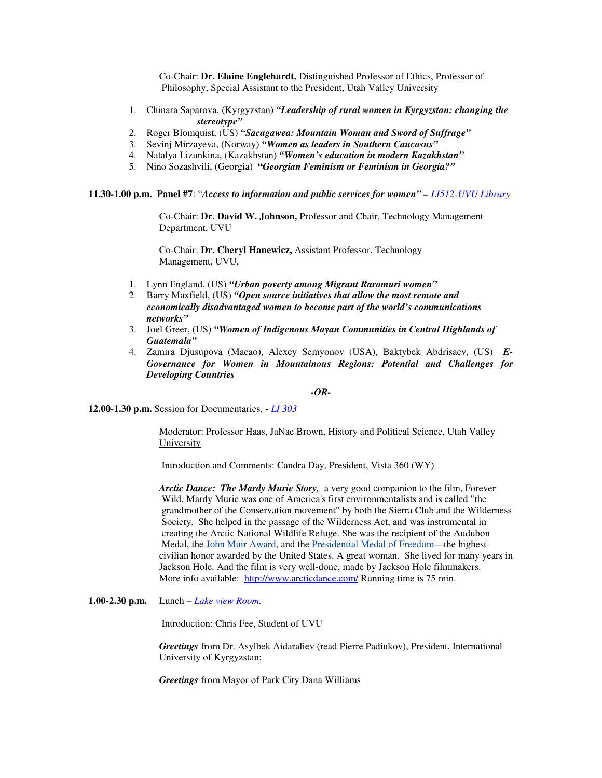Co-Chair: **Dr. Elaine Englehardt,** Distinguished Professor of Ethics, Professor of Philosophy, Special Assistant to the President, Utah Valley University

- 1. Chinara Saparova, (Kyrgyzstan) *"Leadership of rural women in Kyrgyzstan: changing the stereotype"*
- 2. Roger Blomquist, (US) *"Sacagawea: Mountain Woman and Sword of Suffrage"*
- 3. Sevinj Mirzayeva, (Norway) *"Women as leaders in Southern Caucasus"*
- 4. Natalya Lizunkina, (Kazakhstan) *"Women's education in modern Kazakhstan"*
- 5. Nino Sozashvili, (Georgia) **"***Georgian Feminism or Feminism in Georgia?"*

**11.30-1.00 p.m. Panel #7**: "*Access to information and public services for women" – LI512-UVU Library*

Co-Chair: **Dr. David W. Johnson,** Professor and Chair, Technology Management Department, UVU

Co-Chair: **Dr. Cheryl Hanewicz,** Assistant Professor, Technology Management, UVU,

- 1. Lynn England, (US) *"Urban poverty among Migrant Raramuri women"*
- 2. Barry Maxfield, (US) *"Open source initiatives that allow the most remote and economically disadvantaged women to become part of the world's communications networks"*
- 3. Joel Greer, (US) *"Women of Indigenous Mayan Communities in Central Highlands of Guatemala"*
- 4. Zamira Djusupova (Macao), Alexey Semyonov (USA), Baktybek Abdrisaev, (US) *E-Governance for Women in Mountainous Regions: Potential and Challenges for Developing Countries*

#### *-OR-*

**12.00-1.30 p.m.** Session for Documentaries, **-** *LI 303* 

Moderator: Professor Haas, JaNae Brown, History and Political Science, Utah Valley University

Introduction and Comments: Candra Day, President, Vista 360 (WY)

*Arctic Dance: The Mardy Murie Story,* a very good companion to the film, Forever Wild. Mardy Murie was one of America's first environmentalists and is called "the grandmother of the Conservation movement" by both the Sierra Club and the Wilderness Society. She helped in the passage of the Wilderness Act, and was instrumental in creating the Arctic National Wildlife Refuge. She was the recipient of the Audubon Medal, the John Muir Award, and the Presidential Medal of Freedom—the highest civilian honor awarded by the United States. A great woman. She lived for many years in Jackson Hole. And the film is very well-done, made by Jackson Hole filmmakers. More info available: http://www.arcticdance.com/ Running time is 75 min.

**1.00-2.30 p.m.** Lunch *– Lake view Room.*

Introduction: Chris Fee, Student of UVU

*Greetings* from Dr. Asylbek Aidaraliev (read Pierre Padiukov), President, International University of Kyrgyzstan;

*Greetings* from Mayor of Park City Dana Williams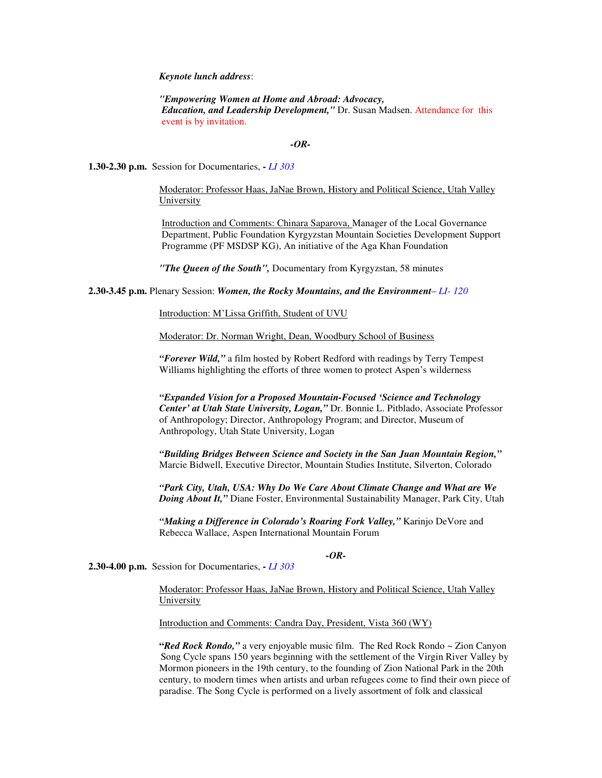*Keynote lunch address*:

*"Empowering Women at Home and Abroad: Advocacy, Education, and Leadership Development,"* Dr. Susan Madsen. Attendance for this event is by invitation.

#### *-OR-*

**1.30-2.30 p.m.** Session for Documentaries, **-** *LI 303* 

Moderator: Professor Haas, JaNae Brown, History and Political Science, Utah Valley University

Introduction and Comments: Chinara Saparova, Manager of the Local Governance Department, Public Foundation Kyrgyzstan Mountain Societies Development Support Programme (PF MSDSP KG), An initiative of the Aga Khan Foundation

*"The Queen of the South",* Documentary from Kyrgyzstan, 58 minutes

**2.30-3.45 p.m.** Plenary Session: *Women, the Rocky Mountains, and the Environment*– *LI- 120* 

Introduction: M'Lissa Griffith, Student of UVU

Moderator: Dr. Norman Wright, Dean, Woodbury School of Business

*"Forever Wild,"* a film hosted by Robert Redford with readings by Terry Tempest Williams highlighting the efforts of three women to protect Aspen's wilderness

*"Expanded Vision for a Proposed Mountain-Focused 'Science and Technology Center' at Utah State University, Logan,"* Dr. Bonnie L. Pitblado, Associate Professor of Anthropology; Director, Anthropology Program; and Director, Museum of Anthropology, Utah State University, Logan

*"Building Bridges Between Science and Society in the San Juan Mountain Region,"*  Marcie Bidwell, Executive Director, Mountain Studies Institute, Silverton, Colorado

*"Park City, Utah, USA: Why Do We Care About Climate Change and What are We Doing About It,"* Diane Foster, Environmental Sustainability Manager, Park City, Utah

*"Making a Difference in Colorado's Roaring Fork Valley,"* Karinjo DeVore and Rebecca Wallace, Aspen International Mountain Forum

#### *-OR-*

**2.30-4.00 p.m.** Session for Documentaries, **-** *LI 303* 

Moderator: Professor Haas, JaNae Brown, History and Political Science, Utah Valley **University** 

Introduction and Comments: Candra Day, President, Vista 360 (WY)

**"***Red Rock Rondo,"* a very enjoyable music film. The Red Rock Rondo ~ Zion Canyon Song Cycle spans 150 years beginning with the settlement of the Virgin River Valley by Mormon pioneers in the 19th century, to the founding of Zion National Park in the 20th century, to modern times when artists and urban refugees come to find their own piece of paradise. The Song Cycle is performed on a lively assortment of folk and classical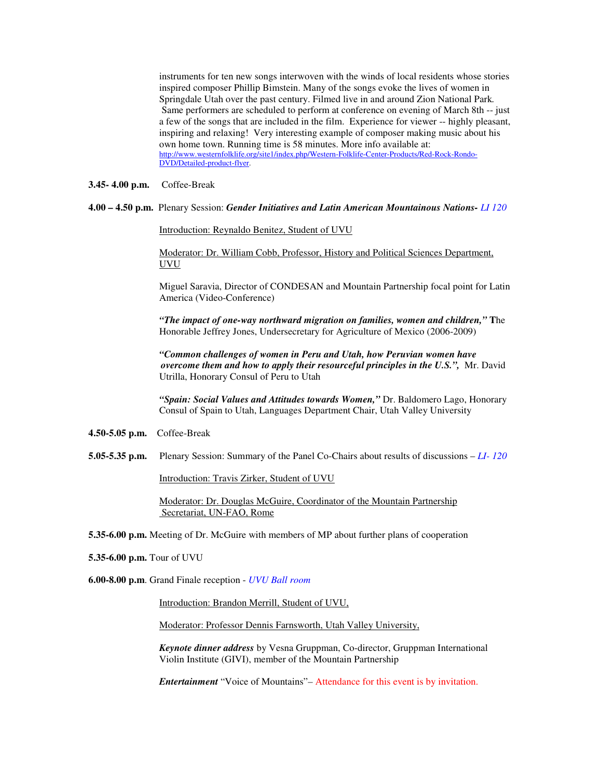instruments for ten new songs interwoven with the winds of local residents whose stories inspired composer Phillip Bimstein. Many of the songs evoke the lives of women in Springdale Utah over the past century. Filmed live in and around Zion National Park*.*  Same performers are scheduled to perform at conference on evening of March 8th -- just a few of the songs that are included in the film. Experience for viewer -- highly pleasant, inspiring and relaxing! Very interesting example of composer making music about his own home town. Running time is 58 minutes. More info available at: http://www.westernfolklife.org/site1/index.php/Western-Folklife-Center-Products/Red-Rock-Rondo-DVD/Detailed-product-flyer.

#### **3.45- 4.00 p.m.** Coffee-Break

#### **4.00 – 4.50 p.m.** Plenary Session: *Gender Initiatives and Latin American Mountainous Nations- LI 120*

Introduction: Reynaldo Benitez, Student of UVU

Moderator: Dr. William Cobb, Professor, History and Political Sciences Department, UVU

Miguel Saravia, Director of CONDESAN and Mountain Partnership focal point for Latin America (Video-Conference)

*"The impact of one-way northward migration on families, women and children,"* **T**he Honorable Jeffrey Jones, Undersecretary for Agriculture of Mexico (2006-2009)

*"Common challenges of women in Peru and Utah, how Peruvian women have overcome them and how to apply their resourceful principles in the U.S.",* Mr. David Utrilla, Honorary Consul of Peru to Utah

*"Spain: Social Values and Attitudes towards Women,"* Dr. Baldomero Lago, Honorary Consul of Spain to Utah, Languages Department Chair, Utah Valley University

- **4.50-5.05 p.m.** Coffee-Break
- **5.05-5.35 p.m.** Plenary Session: Summary of the Panel Co-Chairs about results of discussions *LI- 120*

Introduction: Travis Zirker, Student of UVU

Moderator: Dr. Douglas McGuire, Coordinator of the Mountain Partnership Secretariat, UN-FAO, Rome

**5.35-6.00 p.m.** Meeting of Dr. McGuire with members of MP about further plans of cooperation

**5.35-6.00 p.m.** Tour of UVU

**6.00-8.00 p.m**. Grand Finale reception - *UVU Ball room*

Introduction: Brandon Merrill, Student of UVU,

Moderator: Professor Dennis Farnsworth, Utah Valley University,

*Keynote dinner address* by Vesna Gruppman, Co-director, Gruppman International Violin Institute (GIVI), member of the Mountain Partnership

*Entertainment* "Voice of Mountains"*–* Attendance for this event is by invitation.